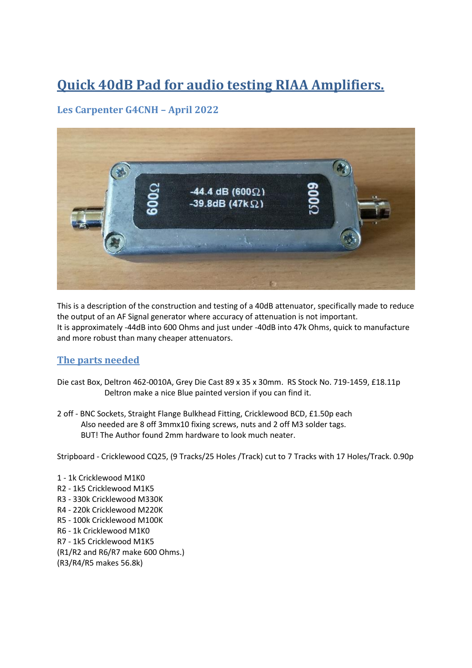# **Quick 40dB Pad for audio testing RIAA Amplifiers.**

### **Les Carpenter G4CNH – April 2022**



This is a description of the construction and testing of a 40dB attenuator, specifically made to reduce the output of an AF Signal generator where accuracy of attenuation is not important. It is approximately -44dB into 600 Ohms and just under -40dB into 47k Ohms, quick to manufacture and more robust than many cheaper attenuators.

#### **The parts needed**

- Die cast Box, Deltron 462-0010A, Grey Die Cast 89 x 35 x 30mm. RS Stock No. 719-1459, £18.11p Deltron make a nice Blue painted version if you can find it.
- 2 off BNC Sockets, Straight Flange Bulkhead Fitting, Cricklewood BCD, £1.50p each Also needed are 8 off 3mmx10 fixing screws, nuts and 2 off M3 solder tags. BUT! The Author found 2mm hardware to look much neater.

Stripboard - Cricklewood CQ25, (9 Tracks/25 Holes /Track) cut to 7 Tracks with 17 Holes/Track. 0.90p

1 - 1k Cricklewood M1K0 R2 - 1k5 Cricklewood M1K5 R3 - 330k Cricklewood M330K R4 - 220k Cricklewood M220K R5 - 100k Cricklewood M100K R6 - 1k Cricklewood M1K0 R7 - 1k5 Cricklewood M1K5 (R1/R2 and R6/R7 make 600 Ohms.) (R3/R4/R5 makes 56.8k)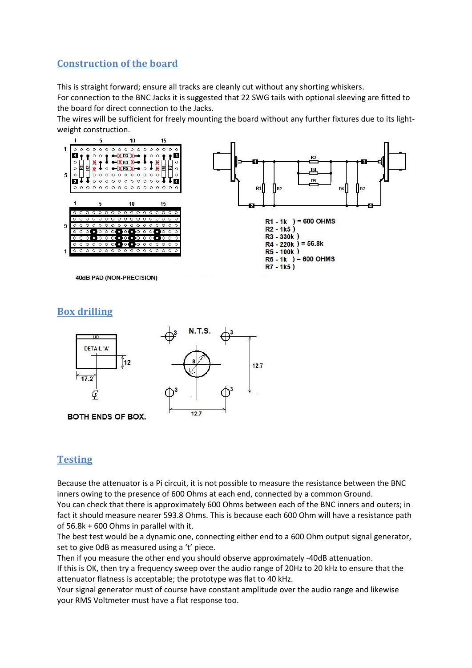#### **Construction of the board**

This is straight forward; ensure all tracks are cleanly cut without any shorting whiskers.

For connection to the BNC Jacks it is suggested that 22 SWG tails with optional sleeving are fitted to the board for direct connection to the Jacks.

The wires will be sufficient for freely mounting the board without any further fixtures due to its lightweight construction.



#### **Box drilling**



#### **Testing**

Because the attenuator is a Pi circuit, it is not possible to measure the resistance between the BNC inners owing to the presence of 600 Ohms at each end, connected by a common Ground.

You can check that there is approximately 600 Ohms between each of the BNC inners and outers; in fact it should measure nearer 593.8 Ohms. This is because each 600 Ohm will have a resistance path of 56.8k + 600 Ohms in parallel with it.

The best test would be a dynamic one, connecting either end to a 600 Ohm output signal generator, set to give 0dB as measured using a 't' piece.

Then if you measure the other end you should observe approximately -40dB attenuation.

If this is OK, then try a frequency sweep over the audio range of 20Hz to 20 kHz to ensure that the attenuator flatness is acceptable; the prototype was flat to 40 kHz.

Your signal generator must of course have constant amplitude over the audio range and likewise your RMS Voltmeter must have a flat response too.